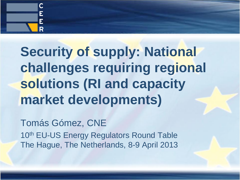

# **Security of supply: National challenges requiring regional solutions (RI and capacity market developments)**

Tomás Gómez, CNE 10<sup>th</sup> EU-US Energy Regulators Round Table The Hague, The Netherlands, 8-9 April 2013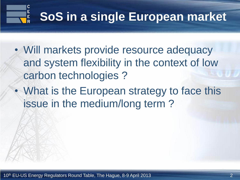#### **C**<br>E<br>E **SoS in a single European market**

- Will markets provide resource adequacy and system flexibility in the context of low carbon technologies ?
- What is the European strategy to face this issue in the medium/long term ?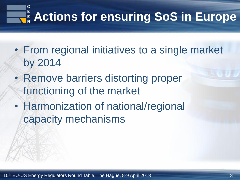# **Actions for ensuring SoS in Europe**

- From regional initiatives to a single market by 2014
- Remove barriers distorting proper functioning of the market
- Harmonization of national/regional capacity mechanisms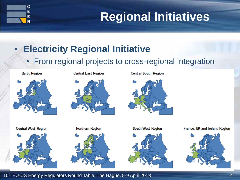

#### • **Electricity Regional Initiative**

• From regional projects to cross-regional integration

# **Baltic Region**



**Central-South Region** 



**Central-West Region** 





**South-West Region** 



France, UK and Ireland Region



10<sup>th</sup> EU-US Energy Regulators Round Table, The Hague, 8-9 April 2013 **19th** EU-US Energy Regulators Round Table, The Hague, 8-9 April 2013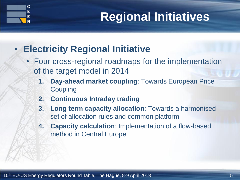

#### • **Electricity Regional Initiative**

- Four cross-regional roadmaps for the implementation of the target model in 2014
	- **1. Day-ahead market coupling**: Towards European Price **Coupling**
	- **2. Continuous Intraday trading**
	- **3. Long term capacity allocation**: Towards a harmonised set of allocation rules and common platform
	- **4. Capacity calculation**: Implementation of a flow-based method in Central Europe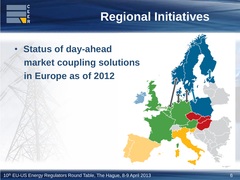

### • **Status of day-ahead market coupling solutions in Europe as of 2012**

С Ė Ē Ŕ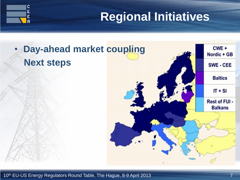

## • **Day-ahead market coupling Next steps**



10<sup>th</sup> EU-US Energy Regulators Round Table, The Hague, 8-9 April 2013 **10th** EU-US Energy Regulators Round Table, The Hague, 8-9 April 2013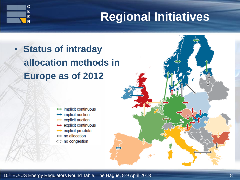## • **Status of intraday allocation methods in Europe as of 2012**

C Ė Ė R



- $\leftrightarrow$  implicit auction
- $\leftrightarrow$  explicit auction
- $\leftrightarrow$  explicit continuous
- explicit pro-data  $\leftrightarrow$
- $\leftrightarrow$  no allocation
- $\Leftrightarrow$  no congestion

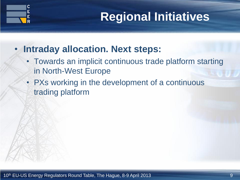

#### • **Intraday allocation. Next steps:**

- Towards an implicit continuous trade platform starting in North-West Europe
- PXs working in the development of a continuous trading platform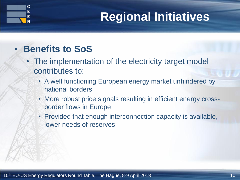

#### • **Benefits to SoS**

- The implementation of the electricity target model contributes to:
	- A well functioning European energy market unhindered by national borders
	- More robust price signals resulting in efficient energy crossborder flows in Europe
	- Provided that enough interconnection capacity is available, lower needs of reserves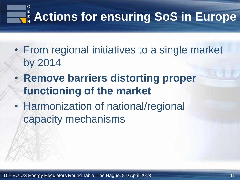# **Actions for ensuring SoS in Europe**

- From regional initiatives to a single market by 2014
- **Remove barriers distorting proper functioning of the market**
- Harmonization of national/regional capacity mechanisms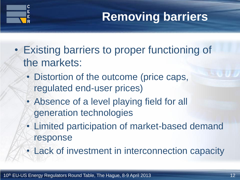

# **Removing barriers**

- Existing barriers to proper functioning of the markets:
	- Distortion of the outcome (price caps, regulated end-user prices)
	- Absence of a level playing field for all generation technologies
	- Limited participation of market-based demand response
	- Lack of investment in interconnection capacity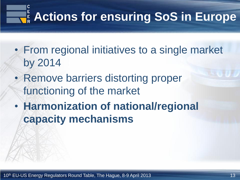# **Actions for ensuring SoS in Europe**

- From regional initiatives to a single market by 2014
- Remove barriers distorting proper functioning of the market
- **Harmonization of national/regional capacity mechanisms**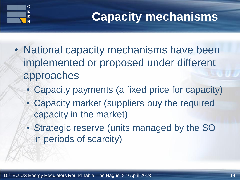

# **Capacity mechanisms**

- National capacity mechanisms have been implemented or proposed under different approaches
	- Capacity payments (a fixed price for capacity)
	- Capacity market (suppliers buy the required capacity in the market)
	- Strategic reserve (units managed by the SO in periods of scarcity)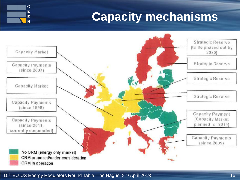# **Capacity mechanisms**



#### 10<sup>th</sup> EU-US Energy Regulators Round Table, The Hague, 8-9 April 2013 **15** April 2013

 $\mathsf C$ Ė Ė R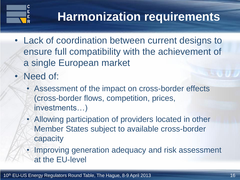

# **Harmonization requirements**

- Lack of coordination between current designs to ensure full compatibility with the achievement of a single European market
- Need of:
	- Assessment of the impact on cross-border effects (cross-border flows, competition, prices, investments…)
	- Allowing participation of providers located in other Member States subject to available cross-border capacity
	- Improving generation adequacy and risk assessment at the EU-level